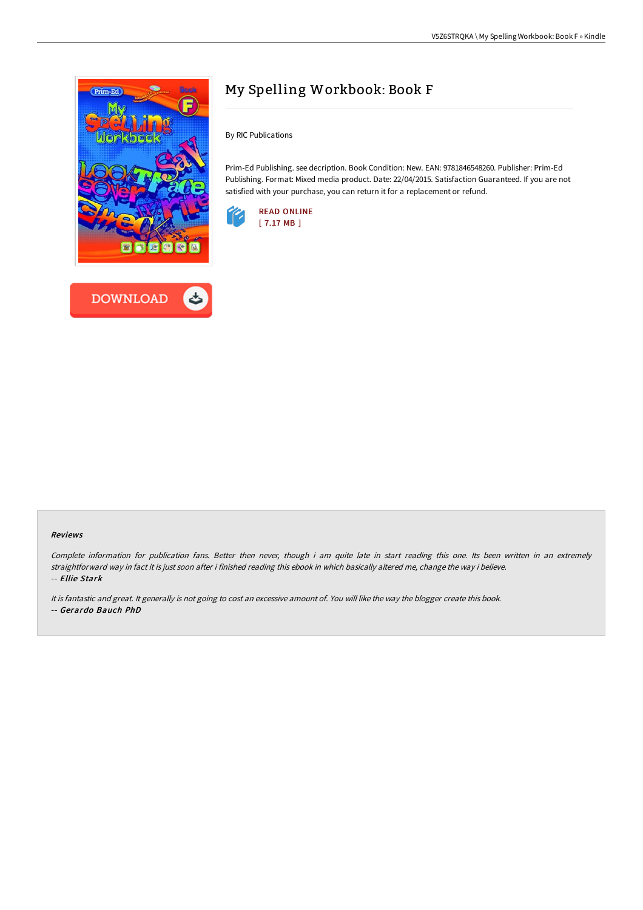

**DOWNLOAD** 



By RIC Publications

Prim-Ed Publishing. see decription. Book Condition: New. EAN: 9781846548260. Publisher: Prim-Ed Publishing. Format: Mixed media product. Date: 22/04/2015. Satisfaction Guaranteed. If you are not satisfied with your purchase, you can return it for a replacement or refund.



#### Reviews

Complete information for publication fans. Better then never, though i am quite late in start reading this one. Its been written in an extremely straightforward way in fact it is just soon after i finished reading this ebook in which basically altered me, change the way i believe. -- Ellie Stark

It is fantastic and great. It generally is not going to cost an excessive amount of. You will like the way the blogger create this book.

-- Gerardo Bauch PhD